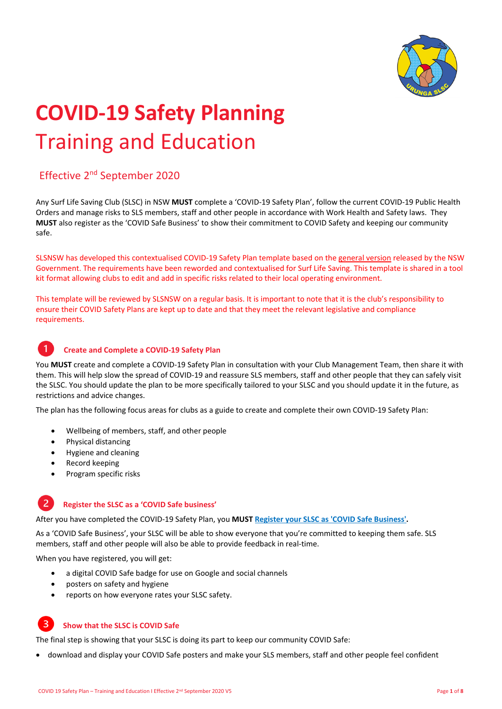

# **COVID‐<sup>19</sup> Safety Planning** Training and Education

#### Effective 2nd September 2020

Any Surf Life Saving Club (SLSC) in NSW **MUST** complete a 'COVID‐19 Safety Plan', follow the current COVID‐19 Public Health Orders and manage risks to SLS members, staff and other people in accordance with Work Health and Safety laws. They **MUST** also register as the 'COVID Safe Business' to show their commitment to COVID Safety and keeping our community safe.

SLSNSW has developed this contextualised COVID‐19 Safety Plan template based on the general version released by the NSW Government. The requirements have been reworded and contextualised for Surf Life Saving. This template is shared in a tool kit format allowing clubs to edit and add in specific risks related to their local operating environment.

This template will be reviewed by SLSNSW on a regular basis. It is important to note that it is the club's responsibility to ensure their COVID Safety Plans are kept up to date and that they meet the relevant legislative and compliance requirements.



#### **Create and Complete a COVID‐19 Safety Plan**

You MUST create and complete a COVID-19 Safety Plan in consultation with your Club Management Team, then share it with them. This will help slow the spread of COVID-19 and reassure SLS members, staff and other people that they can safely visit the SLSC. You should update the plan to be more specifically tailored to your SLSC and you should update it in the future, as restrictions and advice changes.

The plan has the following focus areas for clubs as a guide to create and complete their own COVID‐19 Safety Plan:

- Wellbeing of members, staff, and other people
- Physical distancing
- Hygiene and cleaning
- Record keeping
- Program specific risks

#### $\overline{2}$ **Register the SLSC as a 'COVID Safe business'**

After you have completed the COVID‐19 Safety Plan, you **MUST Register your SLSC as 'COVID Safe Business'.**

As a 'COVID Safe Business', your SLSC will be able to show everyone that you're committed to keeping them safe. SLS members, staff and other people will also be able to provide feedback in real‐time.

When you have registered, you will get:

- a digital COVID Safe badge for use on Google and social channels
- posters on safety and hygiene
- reports on how everyone rates your SLSC safety.

#### **Show that the SLSC is COVID Safe**

The final step is showing that your SLSC is doing its part to keep our community COVID Safe:

download and display your COVID Safe posters and make your SLS members, staff and other people feel confident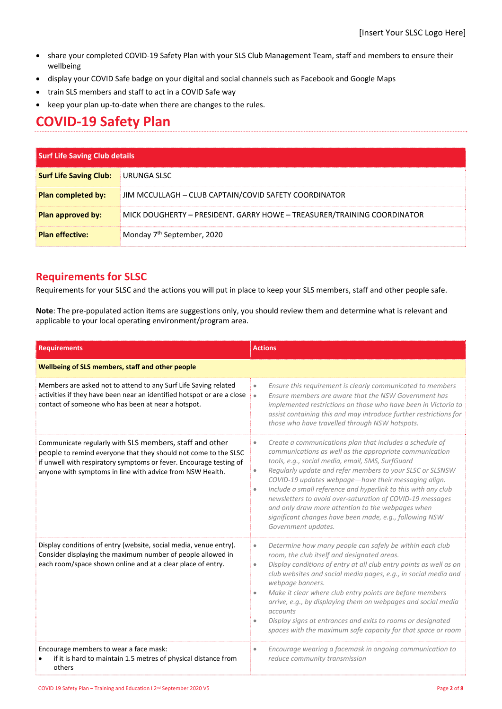- share your completed COVID‐19 Safety Plan with your SLS Club Management Team, staff and members to ensure their wellbeing
- display your COVID Safe badge on your digital and social channels such as Facebook and Google Maps
- train SLS members and staff to act in a COVID Safe way
- keep your plan up-to-date when there are changes to the rules.

## **COVID‐19 Safety Plan**

| <b>Surf Life Saving Club details</b> |                                                                         |
|--------------------------------------|-------------------------------------------------------------------------|
| <b>Surf Life Saving Club:</b>        | URUNGA SLSC                                                             |
| <b>Plan completed by:</b>            | JIM MCCULLAGH - CLUB CAPTAIN/COVID SAFETY COORDINATOR                   |
| Plan approved by:                    | MICK DOUGHERTY - PRESIDENT. GARRY HOWE - TREASURER/TRAINING COORDINATOR |
| <b>Plan effective:</b>               | Monday 7 <sup>th</sup> September, 2020                                  |

#### **Requirements for SLSC**

Requirements for your SLSC and the actions you will put in place to keep your SLS members, staff and other people safe.

**Note**: The pre‐populated action items are suggestions only, you should review them and determine what is relevant and applicable to your local operating environment/program area.

| <b>Requirements</b>                                                                                                                                                                                                                                           | <b>Actions</b>                                                                                                                                                                                                                                                                                                                                                                                                                                                                                                                                                                                           |  |
|---------------------------------------------------------------------------------------------------------------------------------------------------------------------------------------------------------------------------------------------------------------|----------------------------------------------------------------------------------------------------------------------------------------------------------------------------------------------------------------------------------------------------------------------------------------------------------------------------------------------------------------------------------------------------------------------------------------------------------------------------------------------------------------------------------------------------------------------------------------------------------|--|
| Wellbeing of SLS members, staff and other people                                                                                                                                                                                                              |                                                                                                                                                                                                                                                                                                                                                                                                                                                                                                                                                                                                          |  |
| Members are asked not to attend to any Surf Life Saving related<br>activities if they have been near an identified hotspot or are a close<br>contact of someone who has been at near a hotspot.                                                               | Ensure this requirement is clearly communicated to members<br>$\bullet$<br>Ensure members are aware that the NSW Government has<br>$\bullet$<br>implemented restrictions on those who have been in Victoria to<br>assist containing this and may introduce further restrictions for<br>those who have travelled through NSW hotspots.                                                                                                                                                                                                                                                                    |  |
| Communicate regularly with SLS members, staff and other<br>people to remind everyone that they should not come to the SLSC<br>if unwell with respiratory symptoms or fever. Encourage testing of<br>anyone with symptoms in line with advice from NSW Health. | Create a communications plan that includes a schedule of<br>$\bullet$<br>communications as well as the appropriate communication<br>tools, e.g., social media, email, SMS, SurfGuard<br>Regularly update and refer members to your SLSC or SLSNSW<br>$\bullet$<br>COVID-19 updates webpage-have their messaging align.<br>Include a small reference and hyperlink to this with any club<br>$\bullet$<br>newsletters to avoid over-saturation of COVID-19 messages<br>and only draw more attention to the webpages when<br>significant changes have been made, e.g., following NSW<br>Government updates. |  |
| Display conditions of entry (website, social media, venue entry).<br>Consider displaying the maximum number of people allowed in<br>each room/space shown online and at a clear place of entry.                                                               | Determine how many people can safely be within each club<br>$\qquad \qquad \bullet$<br>room, the club itself and designated areas.<br>Display conditions of entry at all club entry points as well as on<br>$\bullet$<br>club websites and social media pages, e.g., in social media and<br>webpage banners.<br>Make it clear where club entry points are before members<br>$\bullet$<br>arrive, e.g., by displaying them on webpages and social media<br>accounts<br>Display signs at entrances and exits to rooms or designated<br>spaces with the maximum safe capacity for that space or room        |  |
| Encourage members to wear a face mask:<br>if it is hard to maintain 1.5 metres of physical distance from<br>others                                                                                                                                            | Encourage wearing a facemask in ongoing communication to<br>$\bullet$<br>reduce community transmission                                                                                                                                                                                                                                                                                                                                                                                                                                                                                                   |  |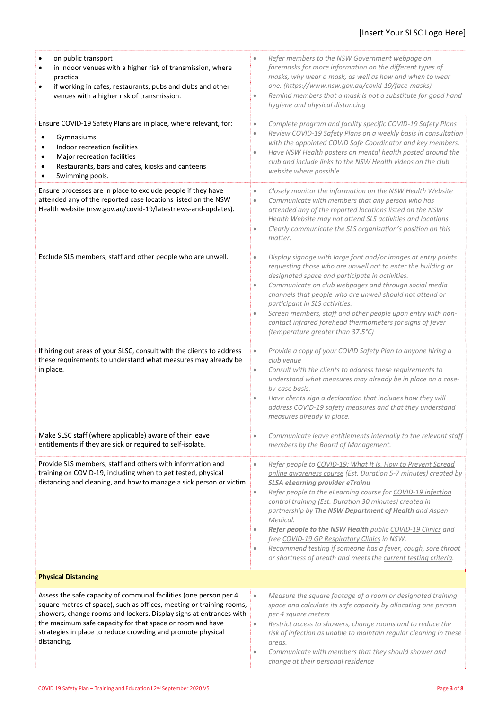| on public transport<br>in indoor venues with a higher risk of transmission, where<br>$\bullet$<br>practical<br>if working in cafes, restaurants, pubs and clubs and other<br>$\bullet$<br>venues with a higher risk of transmission.                                                                                                                       | Refer members to the NSW Government webpage on<br>$\bullet$<br>facemasks for more information on the different types of<br>masks, why wear a mask, as well as how and when to wear<br>one. (https://www.nsw.gov.au/covid-19/face-masks)<br>Remind members that a mask is not a substitute for good hand<br>$\bullet$<br>hygiene and physical distancing                                                                                                                                                                                                                                                                                                                   |
|------------------------------------------------------------------------------------------------------------------------------------------------------------------------------------------------------------------------------------------------------------------------------------------------------------------------------------------------------------|---------------------------------------------------------------------------------------------------------------------------------------------------------------------------------------------------------------------------------------------------------------------------------------------------------------------------------------------------------------------------------------------------------------------------------------------------------------------------------------------------------------------------------------------------------------------------------------------------------------------------------------------------------------------------|
| Ensure COVID-19 Safety Plans are in place, where relevant, for:<br>Gymnasiums<br>Indoor recreation facilities<br>$\bullet$<br>Major recreation facilities<br>$\bullet$<br>Restaurants, bars and cafes, kiosks and canteens<br>$\bullet$<br>Swimming pools.                                                                                                 | Complete program and facility specific COVID-19 Safety Plans<br>$\bullet$<br>Review COVID-19 Safety Plans on a weekly basis in consultation<br>$\bullet$<br>with the appointed COVID Safe Coordinator and key members.<br>Have NSW Health posters on mental health posted around the<br>$\bullet$<br>club and include links to the NSW Health videos on the club<br>website where possible                                                                                                                                                                                                                                                                                |
| Ensure processes are in place to exclude people if they have<br>attended any of the reported case locations listed on the NSW<br>Health website (nsw.gov.au/covid-19/latestnews-and-updates).                                                                                                                                                              | Closely monitor the information on the NSW Health Website<br>$\bullet$<br>Communicate with members that any person who has<br>$\bullet$<br>attended any of the reported locations listed on the NSW<br>Health Website may not attend SLS activities and locations.<br>Clearly communicate the SLS organisation's position on this<br>$\bullet$<br>matter.                                                                                                                                                                                                                                                                                                                 |
| Exclude SLS members, staff and other people who are unwell.                                                                                                                                                                                                                                                                                                | Display signage with large font and/or images at entry points<br>$\bullet$<br>requesting those who are unwell not to enter the building or<br>designated space and participate in activities.<br>Communicate on club webpages and through social media<br>$\bullet$<br>channels that people who are unwell should not attend or<br>participant in SLS activities.<br>Screen members, staff and other people upon entry with non-<br>$\bullet$<br>contact infrared forehead thermometers for signs of fever<br>(temperature greater than 37.5°C)                                                                                                                           |
| If hiring out areas of your SLSC, consult with the clients to address<br>these requirements to understand what measures may already be<br>in place.                                                                                                                                                                                                        | Provide a copy of your COVID Safety Plan to anyone hiring a<br>$\bullet$<br>club venue<br>Consult with the clients to address these requirements to<br>$\bullet$<br>understand what measures may already be in place on a case-<br>by-case basis.<br>Have clients sign a declaration that includes how they will<br>$\bullet$<br>address COVID-19 safety measures and that they understand<br>measures already in place.                                                                                                                                                                                                                                                  |
| Make SLSC staff (where applicable) aware of their leave<br>entitlements if they are sick or required to self-isolate.                                                                                                                                                                                                                                      | Communicate leave entitlements internally to the relevant staff<br>$\bullet$<br>members by the Board of Management.                                                                                                                                                                                                                                                                                                                                                                                                                                                                                                                                                       |
| Provide SLS members, staff and others with information and<br>training on COVID-19, including when to get tested, physical<br>distancing and cleaning, and how to manage a sick person or victim.                                                                                                                                                          | Refer people to COVID-19: What It Is, How to Prevent Spread<br>$\bullet$<br>online awareness course (Est. Duration 5-7 minutes) created by<br><b>SLSA eLearning provider eTrainu</b><br>Refer people to the eLearning course for COVID-19 infection<br>$\bullet$<br>control training (Est. Duration 30 minutes) created in<br>partnership by The NSW Department of Health and Aspen<br>Medical.<br>Refer people to the NSW Health public COVID-19 Clinics and<br>$\bullet$<br>free COVID-19 GP Respiratory Clinics in NSW.<br>Recommend testing if someone has a fever, cough, sore throat<br>$\bullet$<br>or shortness of breath and meets the current testing criteria. |
| <b>Physical Distancing</b>                                                                                                                                                                                                                                                                                                                                 |                                                                                                                                                                                                                                                                                                                                                                                                                                                                                                                                                                                                                                                                           |
| Assess the safe capacity of communal facilities (one person per 4<br>square metres of space), such as offices, meeting or training rooms,<br>showers, change rooms and lockers. Display signs at entrances with<br>the maximum safe capacity for that space or room and have<br>strategies in place to reduce crowding and promote physical<br>distancing. | Measure the square footage of a room or designated training<br>$\bullet$<br>space and calculate its safe capacity by allocating one person<br>per 4 square meters<br>Restrict access to showers, change rooms and to reduce the<br>$\bullet$<br>risk of infection as unable to maintain regular cleaning in these<br>areas.<br>Communicate with members that they should shower and<br>$\bullet$<br>change at their personal residence                                                                                                                                                                                                                                    |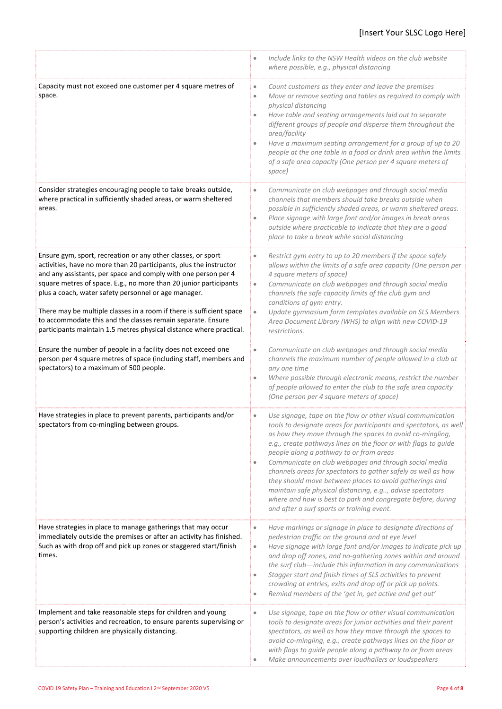|                                                                                                                                                                                                                                                                                                                                                                                                                                                                                                                                                 | Include links to the NSW Health videos on the club website<br>$\bullet$<br>where possible, e.g., physical distancing                                                                                                                                                                                                                                                                                                                                                                                                                                                                                                                                                                         |
|-------------------------------------------------------------------------------------------------------------------------------------------------------------------------------------------------------------------------------------------------------------------------------------------------------------------------------------------------------------------------------------------------------------------------------------------------------------------------------------------------------------------------------------------------|----------------------------------------------------------------------------------------------------------------------------------------------------------------------------------------------------------------------------------------------------------------------------------------------------------------------------------------------------------------------------------------------------------------------------------------------------------------------------------------------------------------------------------------------------------------------------------------------------------------------------------------------------------------------------------------------|
| Capacity must not exceed one customer per 4 square metres of<br>space.                                                                                                                                                                                                                                                                                                                                                                                                                                                                          | Count customers as they enter and leave the premises<br>$\bullet$<br>Move or remove seating and tables as required to comply with<br>۰<br>physical distancing<br>Have table and seating arrangements laid out to separate<br>$\bullet$<br>different groups of people and disperse them throughout the<br>area/facility<br>Have a maximum seating arrangement for a group of up to 20<br>$\bullet$<br>people at the one table in a food or drink area within the limits<br>of a safe area capacity (One person per 4 square meters of<br>space)                                                                                                                                               |
| Consider strategies encouraging people to take breaks outside,<br>where practical in sufficiently shaded areas, or warm sheltered<br>areas.                                                                                                                                                                                                                                                                                                                                                                                                     | Communicate on club webpages and through social media<br>$\bullet$<br>channels that members should take breaks outside when<br>possible in sufficiently shaded areas, or warm sheltered areas.<br>Place signage with large font and/or images in break areas<br>$\bullet$<br>outside where practicable to indicate that they are a good<br>place to take a break while social distancing                                                                                                                                                                                                                                                                                                     |
| Ensure gym, sport, recreation or any other classes, or sport<br>activities, have no more than 20 participants, plus the instructor<br>and any assistants, per space and comply with one person per 4<br>square metres of space. E.g., no more than 20 junior participants<br>plus a coach, water safety personnel or age manager.<br>There may be multiple classes in a room if there is sufficient space<br>to accommodate this and the classes remain separate. Ensure<br>participants maintain 1.5 metres physical distance where practical. | Restrict gym entry to up to 20 members if the space safely<br>$\bullet$<br>allows within the limits of a safe area capacity (One person per<br>4 square meters of space)<br>Communicate on club webpages and through social media<br>$\bullet$<br>channels the safe capacity limits of the club gym and<br>conditions of gym entry.<br>Update gymnasium form templates available on SLS Members<br>$\bullet$<br>Area Document Library (WHS) to align with new COVID-19<br>restrictions.                                                                                                                                                                                                      |
| Ensure the number of people in a facility does not exceed one<br>person per 4 square metres of space (including staff, members and<br>spectators) to a maximum of 500 people.                                                                                                                                                                                                                                                                                                                                                                   | Communicate on club webpages and through social media<br>$\bullet$<br>channels the maximum number of people allowed in a club at<br>any one time<br>Where possible through electronic means, restrict the number<br>$\bullet$<br>of people allowed to enter the club to the safe area capacity<br>(One person per 4 square meters of space)                                                                                                                                                                                                                                                                                                                                                  |
| Have strategies in place to prevent parents, participants and/or<br>spectators from co-mingling between groups.                                                                                                                                                                                                                                                                                                                                                                                                                                 | Use signage, tape on the flow or other visual communication<br>۰<br>tools to designate areas for participants and spectators, as well<br>as how they move through the spaces to avoid co-mingling,<br>e.g., create pathways lines on the floor or with flags to guide<br>people along a pathway to or from areas<br>Communicate on club webpages and through social media<br>$\bullet$<br>channels areas for spectators to gather safely as well as how<br>they should move between places to avoid gatherings and<br>maintain safe physical distancing, e.g, advise spectators<br>where and how is best to park and congregate before, during<br>and after a surf sports or training event. |
| Have strategies in place to manage gatherings that may occur<br>immediately outside the premises or after an activity has finished.<br>Such as with drop off and pick up zones or staggered start/finish<br>times.                                                                                                                                                                                                                                                                                                                              | Have markings or signage in place to designate directions of<br>$\bullet$<br>pedestrian traffic on the ground and at eye level<br>Have signage with large font and/or images to indicate pick up<br>$\bullet$<br>and drop off zones, and no-gathering zones within and around<br>the surf club-include this information in any communications<br>Stagger start and finish times of SLS activities to prevent<br>$\bullet$<br>crowding at entries, exits and drop off or pick up points.<br>Remind members of the 'get in, get active and get out'<br>$\bullet$                                                                                                                               |
| Implement and take reasonable steps for children and young<br>person's activities and recreation, to ensure parents supervising or<br>supporting children are physically distancing.                                                                                                                                                                                                                                                                                                                                                            | Use signage, tape on the flow or other visual communication<br>$\bullet$<br>tools to designate areas for junior activities and their parent<br>spectators, as well as how they move through the spaces to<br>avoid co-mingling, e.g., create pathways lines on the floor or<br>with flags to guide people along a pathway to or from areas<br>Make announcements over loudhailers or loudspeakers                                                                                                                                                                                                                                                                                            |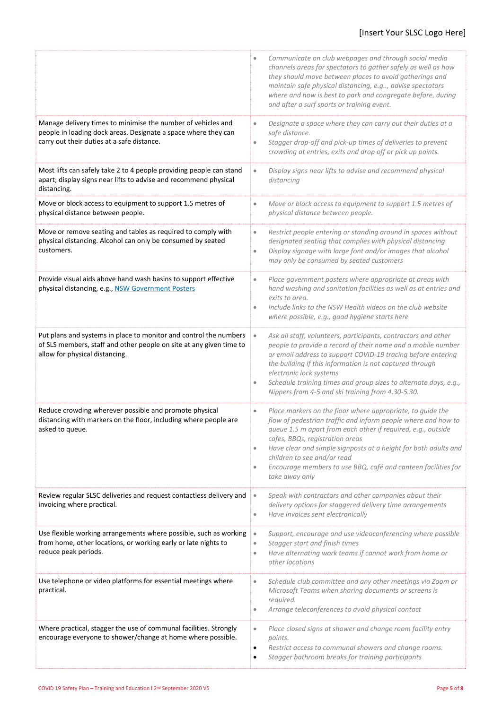|                                                                                                                                                                              | Communicate on club webpages and through social media<br>$\bullet$<br>channels areas for spectators to gather safely as well as how<br>they should move between places to avoid gatherings and<br>maintain safe physical distancing, e.g, advise spectators<br>where and how is best to park and congregate before, during<br>and after a surf sports or training event.                                                                                   |
|------------------------------------------------------------------------------------------------------------------------------------------------------------------------------|------------------------------------------------------------------------------------------------------------------------------------------------------------------------------------------------------------------------------------------------------------------------------------------------------------------------------------------------------------------------------------------------------------------------------------------------------------|
| Manage delivery times to minimise the number of vehicles and<br>people in loading dock areas. Designate a space where they can<br>carry out their duties at a safe distance. | Designate a space where they can carry out their duties at a<br>$\bullet$<br>safe distance.<br>Stagger drop-off and pick-up times of deliveries to prevent<br>$\bullet$<br>crowding at entries, exits and drop off or pick up points.                                                                                                                                                                                                                      |
| Most lifts can safely take 2 to 4 people providing people can stand<br>apart; display signs near lifts to advise and recommend physical<br>distancing.                       | Display signs near lifts to advise and recommend physical<br>$\bullet$<br>distancing                                                                                                                                                                                                                                                                                                                                                                       |
| Move or block access to equipment to support 1.5 metres of<br>physical distance between people.                                                                              | Move or block access to equipment to support 1.5 metres of<br>$\bullet$<br>physical distance between people.                                                                                                                                                                                                                                                                                                                                               |
| Move or remove seating and tables as required to comply with<br>physical distancing. Alcohol can only be consumed by seated<br>customers.                                    | Restrict people entering or standing around in spaces without<br>$\bullet$<br>designated seating that complies with physical distancing<br>Display signage with large font and/or images that alcohol<br>$\bullet$<br>may only be consumed by seated customers                                                                                                                                                                                             |
| Provide visual aids above hand wash basins to support effective<br>physical distancing, e.g., NSW Government Posters                                                         | Place government posters where appropriate at areas with<br>$\bullet$<br>hand washing and sanitation facilities as well as at entries and<br>exits to area.<br>Include links to the NSW Health videos on the club website<br>$\bullet$<br>where possible, e.g., good hygiene starts here                                                                                                                                                                   |
| Put plans and systems in place to monitor and control the numbers<br>of SLS members, staff and other people on site at any given time to<br>allow for physical distancing.   | Ask all staff, volunteers, participants, contractors and other<br>$\bullet$<br>people to provide a record of their name and a mobile number<br>or email address to support COVID-19 tracing before entering<br>the building if this information is not captured through<br>electronic lock systems<br>Schedule training times and group sizes to alternate days, e.g.,<br>$\bullet$<br>Nippers from 4-5 and ski training from 4.30-5.30.                   |
| Reduce crowding wherever possible and promote physical<br>distancing with markers on the floor, including where people are<br>asked to queue.                                | Place markers on the floor where appropriate, to guide the<br>$\bullet$<br>flow of pedestrian traffic and inform people where and how to<br>queue 1.5 m apart from each other if required, e.g., outside<br>cafes, BBQs, registration areas<br>Have clear and simple signposts at a height for both adults and<br>$\bullet$<br>children to see and/or read<br>Encourage members to use BBQ, café and canteen facilities for<br>$\bullet$<br>take away only |
| Review regular SLSC deliveries and request contactless delivery and<br>invoicing where practical.                                                                            | Speak with contractors and other companies about their<br>$\bullet$<br>delivery options for staggered delivery time arrangements<br>Have invoices sent electronically<br>$\bullet$                                                                                                                                                                                                                                                                         |
| Use flexible working arrangements where possible, such as working<br>from home, other locations, or working early or late nights to<br>reduce peak periods.                  | Support, encourage and use videoconferencing where possible<br>$\bullet$<br>Stagger start and finish times<br>$\bullet$<br>Have alternating work teams if cannot work from home or<br>$\bullet$<br>other locations                                                                                                                                                                                                                                         |
| Use telephone or video platforms for essential meetings where<br>practical.                                                                                                  | Schedule club committee and any other meetings via Zoom or<br>$\bullet$<br>Microsoft Teams when sharing documents or screens is<br>required.<br>Arrange teleconferences to avoid physical contact<br>$\bullet$                                                                                                                                                                                                                                             |
| Where practical, stagger the use of communal facilities. Strongly<br>encourage everyone to shower/change at home where possible.                                             | Place closed signs at shower and change room facility entry<br>$\bullet$<br>points.<br>Restrict access to communal showers and change rooms.<br>$\bullet$<br>Stagger bathroom breaks for training participants<br>$\bullet$                                                                                                                                                                                                                                |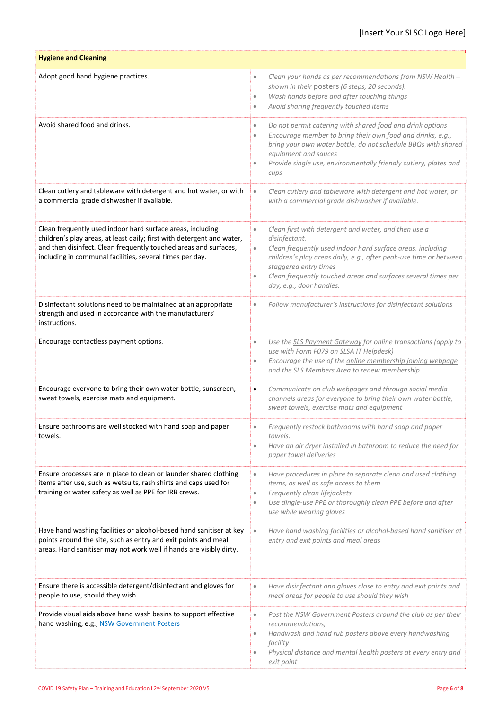| <b>Hygiene and Cleaning</b>                                                                                                                                                                                                                                          |                                                                                                                                                                                                                                                                                                                                                                       |
|----------------------------------------------------------------------------------------------------------------------------------------------------------------------------------------------------------------------------------------------------------------------|-----------------------------------------------------------------------------------------------------------------------------------------------------------------------------------------------------------------------------------------------------------------------------------------------------------------------------------------------------------------------|
| Adopt good hand hygiene practices.                                                                                                                                                                                                                                   | Clean your hands as per recommendations from NSW Health -<br>$\bullet$<br>shown in their posters (6 steps, 20 seconds).<br>Wash hands before and after touching things<br>$\bullet$<br>Avoid sharing frequently touched items<br>$\bullet$                                                                                                                            |
| Avoid shared food and drinks.                                                                                                                                                                                                                                        | Do not permit catering with shared food and drink options<br>$\bullet$<br>Encourage member to bring their own food and drinks, e.g.,<br>$\bullet$<br>bring your own water bottle, do not schedule BBQs with shared<br>equipment and sauces<br>Provide single use, environmentally friendly cutlery, plates and<br>$\bullet$<br>cups                                   |
| Clean cutlery and tableware with detergent and hot water, or with<br>a commercial grade dishwasher if available.                                                                                                                                                     | Clean cutlery and tableware with detergent and hot water, or<br>$\bullet$<br>with a commercial grade dishwasher if available.                                                                                                                                                                                                                                         |
| Clean frequently used indoor hard surface areas, including<br>children's play areas, at least daily; first with detergent and water,<br>and then disinfect. Clean frequently touched areas and surfaces,<br>including in communal facilities, several times per day. | Clean first with detergent and water, and then use a<br>$\bullet$<br>disinfectant.<br>Clean frequently used indoor hard surface areas, including<br>$\bullet$<br>children's play areas daily, e.g., after peak-use time or between<br>staggered entry times<br>Clean frequently touched areas and surfaces several times per<br>$\bullet$<br>day, e.g., door handles. |
| Disinfectant solutions need to be maintained at an appropriate<br>strength and used in accordance with the manufacturers'<br>instructions.                                                                                                                           | Follow manufacturer's instructions for disinfectant solutions<br>$\bullet$                                                                                                                                                                                                                                                                                            |
| Encourage contactless payment options.                                                                                                                                                                                                                               | Use the SLS Payment Gateway for online transactions (apply to<br>$\bullet$<br>use with Form F079 on SLSA IT Helpdesk)<br>Encourage the use of the online membership joining webpage<br>$\bullet$<br>and the SLS Members Area to renew membership                                                                                                                      |
| Encourage everyone to bring their own water bottle, sunscreen,<br>sweat towels, exercise mats and equipment.                                                                                                                                                         | Communicate on club webpages and through social media<br>$\bullet$<br>channels areas for everyone to bring their own water bottle,<br>sweat towels, exercise mats and equipment                                                                                                                                                                                       |
| Ensure bathrooms are well stocked with hand soap and paper<br>towels.                                                                                                                                                                                                | Frequently restock bathrooms with hand soap and paper<br>towels.<br>Have an air dryer installed in bathroom to reduce the need for<br>$\bullet$<br>paper towel deliveries                                                                                                                                                                                             |
| Ensure processes are in place to clean or launder shared clothing<br>items after use, such as wetsuits, rash shirts and caps used for<br>training or water safety as well as PPE for IRB crews.                                                                      | Have procedures in place to separate clean and used clothing<br>$\bullet$<br>items, as well as safe access to them<br>Frequently clean lifejackets<br>$\bullet$<br>Use dingle-use PPE or thoroughly clean PPE before and after<br>$\bullet$<br>use while wearing gloves                                                                                               |
| Have hand washing facilities or alcohol-based hand sanitiser at key<br>points around the site, such as entry and exit points and meal<br>areas. Hand sanitiser may not work well if hands are visibly dirty.                                                         | Have hand washing facilities or alcohol-based hand sanitiser at<br>$\bullet$<br>entry and exit points and meal areas                                                                                                                                                                                                                                                  |
| Ensure there is accessible detergent/disinfectant and gloves for<br>people to use, should they wish.                                                                                                                                                                 | Have disinfectant and gloves close to entry and exit points and<br>$\bullet$<br>meal areas for people to use should they wish                                                                                                                                                                                                                                         |
| Provide visual aids above hand wash basins to support effective<br>hand washing, e.g., NSW Government Posters                                                                                                                                                        | Post the NSW Government Posters around the club as per their<br>$\bullet$<br>recommendations,<br>Handwash and hand rub posters above every handwashing<br>$\qquad \qquad \bullet$<br>facility<br>Physical distance and mental health posters at every entry and<br>$\bullet$<br>exit point                                                                            |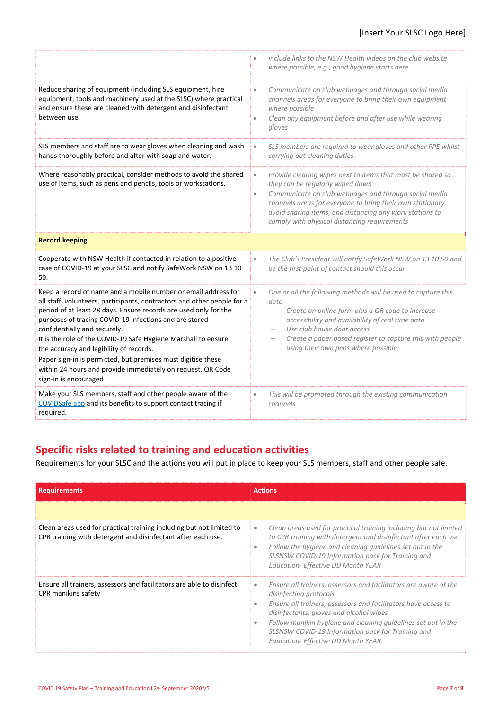#### [Insert Your SLSC Logo Here]

|                                                                                                                                                                                                                                                                                                                                                                                                                                                                                                                                                                              | include links to the NSW Health videos on the club website<br>$\bullet$<br>where possible, e.g., good hygiene starts here                                                                                                                                                                                                                                                            |
|------------------------------------------------------------------------------------------------------------------------------------------------------------------------------------------------------------------------------------------------------------------------------------------------------------------------------------------------------------------------------------------------------------------------------------------------------------------------------------------------------------------------------------------------------------------------------|--------------------------------------------------------------------------------------------------------------------------------------------------------------------------------------------------------------------------------------------------------------------------------------------------------------------------------------------------------------------------------------|
| Reduce sharing of equipment (including SLS equipment, hire<br>equipment, tools and machinery used at the SLSC) where practical<br>and ensure these are cleaned with detergent and disinfectant<br>between use.                                                                                                                                                                                                                                                                                                                                                               | Communicate on club webpages and through social media<br>$\bullet$<br>channels areas for everyone to bring their own equipment<br>where possible<br>Clean any equipment before and after use while wearing<br>$\bullet$<br>gloves                                                                                                                                                    |
| SLS members and staff are to wear gloves when cleaning and wash<br>hands thoroughly before and after with soap and water.                                                                                                                                                                                                                                                                                                                                                                                                                                                    | SLS members are required to wear gloves and other PPE whilst<br>$\bullet$<br>carrying out cleaning duties.                                                                                                                                                                                                                                                                           |
| Where reasonably practical, consider methods to avoid the shared<br>use of items, such as pens and pencils, tools or workstations.                                                                                                                                                                                                                                                                                                                                                                                                                                           | Provide clearing wipes next to items that must be shared so<br>$\bullet$<br>they can be regularly wiped down<br>Communicate on club webpages and through social media<br>$\bullet$<br>channels areas for everyone to bring their own stationary,<br>avoid sharing items, and distancing any work stations to<br>comply with physical distancing requirements                         |
| <b>Record keeping</b>                                                                                                                                                                                                                                                                                                                                                                                                                                                                                                                                                        |                                                                                                                                                                                                                                                                                                                                                                                      |
| Cooperate with NSW Health if contacted in relation to a positive<br>case of COVID-19 at your SLSC and notify SafeWork NSW on 13 10<br>50.                                                                                                                                                                                                                                                                                                                                                                                                                                    | The Club's President will notify SafeWork NSW on 13 10 50 and<br>$\bullet$<br>be the first point of contact should this occur                                                                                                                                                                                                                                                        |
| Keep a record of name and a mobile number or email address for<br>all staff, volunteers, participants, contractors and other people for a<br>period of at least 28 days. Ensure records are used only for the<br>purposes of tracing COVID-19 infections and are stored<br>confidentially and securely.<br>It is the role of the COVID-19 Safe Hygiene Marshall to ensure<br>the accuracy and legibility of records.<br>Paper sign-in is permitted, but premises must digitise these<br>within 24 hours and provide immediately on request. QR Code<br>sign-in is encouraged | One or all the following methods will be used to capture this<br>$\bullet$<br>data<br>Create an online form plus a QR code to increase<br>$\overline{\phantom{0}}$<br>accessibility and availability of real time data<br>Use club house door access<br>$\overline{\phantom{0}}$<br>Create a paper based register to capture this with people<br>using their own pens where possible |
| Make your SLS members, staff and other people aware of the<br>COVIDSafe app and its benefits to support contact tracing if<br>required.                                                                                                                                                                                                                                                                                                                                                                                                                                      | This will be promoted through the existing communication<br>$\bullet$<br>channels                                                                                                                                                                                                                                                                                                    |

### **Specific risks related to training and education activities**

Requirements for your SLSC and the actions you will put in place to keep your SLS members, staff and other people safe.

| <b>Requirements</b>                                                                                                                  | <b>Actions</b>                                                                                                                                                                                                                                                                                                                                                                               |
|--------------------------------------------------------------------------------------------------------------------------------------|----------------------------------------------------------------------------------------------------------------------------------------------------------------------------------------------------------------------------------------------------------------------------------------------------------------------------------------------------------------------------------------------|
|                                                                                                                                      |                                                                                                                                                                                                                                                                                                                                                                                              |
| Clean areas used for practical training including but not limited to<br>CPR training with detergent and disinfectant after each use. | Clean areas used for practical training including but not limited<br>$\bullet$<br>to CPR training with detergent and disinfectant after each use<br>Follow the hygiene and cleaning quidelines set out in the<br>۰<br>SLSNSW COVID-19 Information pack for Training and<br><b>Education- Effective DD Month YEAR</b>                                                                         |
| Ensure all trainers, assessors and facilitators are able to disinfect<br>CPR manikins safety                                         | Ensure all trainers, assessors and facilitators are aware of the<br>$\bullet$<br>disinfecting protocols<br>Ensure all trainers, assessors and facilitators have access to<br>disinfectants, gloves and alcohol wipes<br>Follow manikin hygiene and cleaning guidelines set out in the<br>۰<br>SLSNSW COVID-19 Information pack for Training and<br><b>Education- Effective DD Month YEAR</b> |